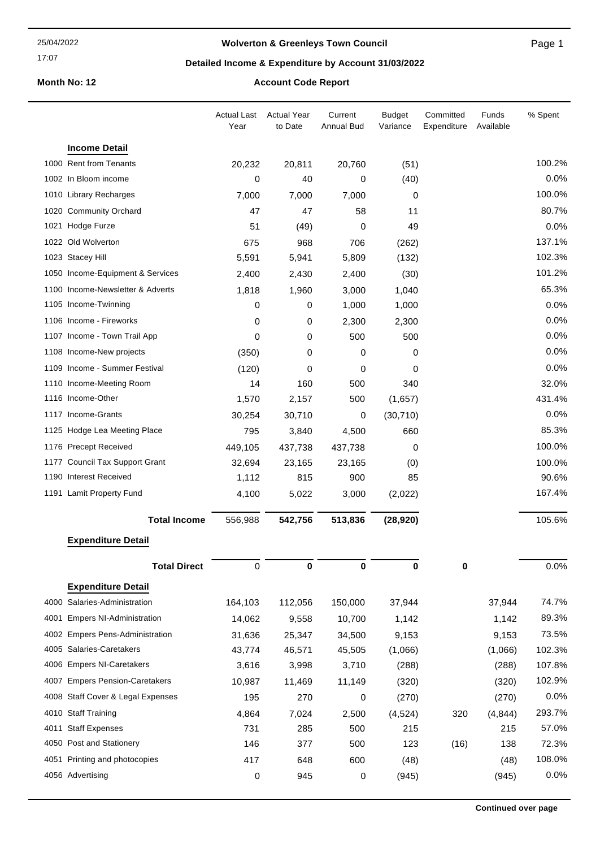#### 17:07

## **Wolverton & Greenleys Town Council**

Page 1

## **Detailed Income & Expenditure by Account 31/03/2022**

## **Month No: 12 Account Code Report**

|                                   | <b>Actual Last</b><br>Year | <b>Actual Year</b><br>to Date | Current<br><b>Annual Bud</b> | <b>Budget</b><br>Variance | Committed<br>Expenditure | Funds<br>Available | % Spent |
|-----------------------------------|----------------------------|-------------------------------|------------------------------|---------------------------|--------------------------|--------------------|---------|
| <b>Income Detail</b>              |                            |                               |                              |                           |                          |                    |         |
| 1000 Rent from Tenants            | 20,232                     | 20,811                        | 20,760                       | (51)                      |                          |                    | 100.2%  |
| 1002 In Bloom income              | 0                          | 40                            | 0                            | (40)                      |                          |                    | 0.0%    |
| 1010 Library Recharges            | 7,000                      | 7,000                         | 7,000                        | 0                         |                          |                    | 100.0%  |
| 1020 Community Orchard            | 47                         | 47                            | 58                           | 11                        |                          |                    | 80.7%   |
| 1021 Hodge Furze                  | 51                         | (49)                          | 0                            | 49                        |                          |                    | 0.0%    |
| 1022 Old Wolverton                | 675                        | 968                           | 706                          | (262)                     |                          |                    | 137.1%  |
| 1023 Stacey Hill                  | 5,591                      | 5,941                         | 5,809                        | (132)                     |                          |                    | 102.3%  |
| 1050 Income-Equipment & Services  | 2,400                      | 2,430                         | 2,400                        | (30)                      |                          |                    | 101.2%  |
| 1100 Income-Newsletter & Adverts  | 1,818                      | 1,960                         | 3,000                        | 1,040                     |                          |                    | 65.3%   |
| 1105 Income-Twinning              | 0                          | 0                             | 1,000                        | 1,000                     |                          |                    | 0.0%    |
| 1106 Income - Fireworks           | 0                          | 0                             | 2,300                        | 2,300                     |                          |                    | 0.0%    |
| 1107 Income - Town Trail App      | 0                          | 0                             | 500                          | 500                       |                          |                    | 0.0%    |
| 1108 Income-New projects          | (350)                      | 0                             | 0                            | 0                         |                          |                    | 0.0%    |
| 1109 Income - Summer Festival     | (120)                      | 0                             | 0                            | 0                         |                          |                    | 0.0%    |
| 1110 Income-Meeting Room          | 14                         | 160                           | 500                          | 340                       |                          |                    | 32.0%   |
| 1116 Income-Other                 | 1,570                      | 2,157                         | 500                          | (1,657)                   |                          |                    | 431.4%  |
| 1117 Income-Grants                | 30,254                     | 30,710                        | 0                            | (30, 710)                 |                          |                    | 0.0%    |
| 1125 Hodge Lea Meeting Place      | 795                        | 3,840                         | 4,500                        | 660                       |                          |                    | 85.3%   |
| 1176 Precept Received             | 449,105                    | 437,738                       | 437,738                      | 0                         |                          |                    | 100.0%  |
| 1177 Council Tax Support Grant    | 32,694                     | 23,165                        | 23,165                       | (0)                       |                          |                    | 100.0%  |
| 1190 Interest Received            | 1,112                      | 815                           | 900                          | 85                        |                          |                    | 90.6%   |
| 1191 Lamit Property Fund          | 4,100                      | 5,022                         | 3,000                        | (2,022)                   |                          |                    | 167.4%  |
| <b>Total Income</b>               | 556,988                    | 542,756                       | 513,836                      | (28, 920)                 |                          |                    | 105.6%  |
| <b>Expenditure Detail</b>         |                            |                               |                              |                           |                          |                    |         |
| <b>Total Direct</b>               | 0                          | 0                             | 0                            | 0                         | 0                        |                    | 0.0%    |
| <b>Expenditure Detail</b>         |                            |                               |                              |                           |                          |                    |         |
| 4000 Salaries-Administration      | 164,103                    | 112,056                       | 150,000                      | 37,944                    |                          | 37,944             | 74.7%   |
| 4001 Empers NI-Administration     | 14,062                     | 9,558                         | 10,700                       | 1,142                     |                          | 1,142              | 89.3%   |
| 4002 Empers Pens-Administration   | 31,636                     | 25,347                        | 34,500                       | 9,153                     |                          | 9,153              | 73.5%   |
| 4005 Salaries-Caretakers          | 43,774                     | 46,571                        | 45,505                       | (1,066)                   |                          | (1,066)            | 102.3%  |
| 4006 Empers NI-Caretakers         | 3,616                      | 3,998                         | 3,710                        | (288)                     |                          | (288)              | 107.8%  |
| 4007 Empers Pension-Caretakers    | 10,987                     | 11,469                        | 11,149                       | (320)                     |                          | (320)              | 102.9%  |
| 4008 Staff Cover & Legal Expenses | 195                        | 270                           | 0                            | (270)                     |                          | (270)              | 0.0%    |
| 4010 Staff Training               | 4,864                      | 7,024                         | 2,500                        | (4, 524)                  | 320                      | (4, 844)           | 293.7%  |
| 4011 Staff Expenses               | 731                        | 285                           | 500                          | 215                       |                          | 215                | 57.0%   |
| 4050 Post and Stationery          | 146                        | 377                           | 500                          | 123                       | (16)                     | 138                | 72.3%   |
| 4051 Printing and photocopies     | 417                        | 648                           | 600                          | (48)                      |                          | (48)               | 108.0%  |
| 4056 Advertising                  | 0                          | 945                           | 0                            | (945)                     |                          | (945)              | 0.0%    |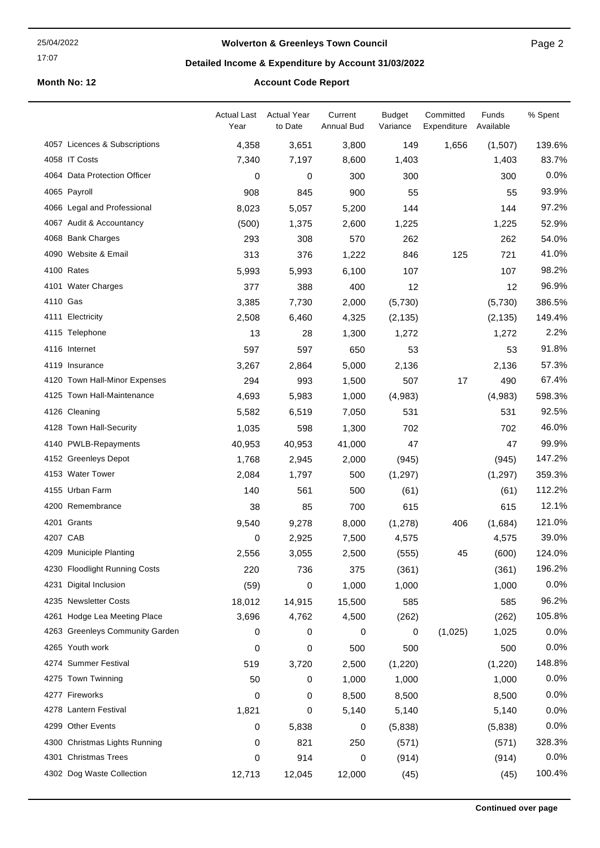#### 25/04/2022

#### 17:07

## **Wolverton & Greenleys Town Council**

Page 2

## **Detailed Income & Expenditure by Account 31/03/2022**

## **Month No: 12 Account Code Report**

|          |                                 | <b>Actual Last</b><br>Year | <b>Actual Year</b><br>to Date | Current<br><b>Annual Bud</b> | <b>Budget</b><br>Variance | Committed<br>Expenditure | Funds<br>Available | % Spent |
|----------|---------------------------------|----------------------------|-------------------------------|------------------------------|---------------------------|--------------------------|--------------------|---------|
|          | 4057 Licences & Subscriptions   | 4,358                      | 3,651                         | 3,800                        | 149                       | 1,656                    | (1,507)            | 139.6%  |
|          | 4058 IT Costs                   | 7,340                      | 7,197                         | 8,600                        | 1,403                     |                          | 1,403              | 83.7%   |
|          | 4064 Data Protection Officer    | 0                          | 0                             | 300                          | 300                       |                          | 300                | 0.0%    |
|          | 4065 Payroll                    | 908                        | 845                           | 900                          | 55                        |                          | 55                 | 93.9%   |
|          | 4066 Legal and Professional     | 8,023                      | 5,057                         | 5,200                        | 144                       |                          | 144                | 97.2%   |
|          | 4067 Audit & Accountancy        | (500)                      | 1,375                         | 2,600                        | 1,225                     |                          | 1,225              | 52.9%   |
|          | 4068 Bank Charges               | 293                        | 308                           | 570                          | 262                       |                          | 262                | 54.0%   |
|          | 4090 Website & Email            | 313                        | 376                           | 1,222                        | 846                       | 125                      | 721                | 41.0%   |
|          | 4100 Rates                      | 5,993                      | 5,993                         | 6,100                        | 107                       |                          | 107                | 98.2%   |
|          | 4101 Water Charges              | 377                        | 388                           | 400                          | 12                        |                          | 12                 | 96.9%   |
| 4110 Gas |                                 | 3,385                      | 7,730                         | 2,000                        | (5,730)                   |                          | (5,730)            | 386.5%  |
|          | 4111 Electricity                | 2,508                      | 6,460                         | 4,325                        | (2, 135)                  |                          | (2, 135)           | 149.4%  |
|          | 4115 Telephone                  | 13                         | 28                            | 1,300                        | 1,272                     |                          | 1,272              | 2.2%    |
|          | 4116 Internet                   | 597                        | 597                           | 650                          | 53                        |                          | 53                 | 91.8%   |
|          | 4119 Insurance                  | 3,267                      | 2,864                         | 5,000                        | 2,136                     |                          | 2,136              | 57.3%   |
|          | 4120 Town Hall-Minor Expenses   | 294                        | 993                           | 1,500                        | 507                       | 17                       | 490                | 67.4%   |
|          | 4125 Town Hall-Maintenance      | 4,693                      | 5,983                         | 1,000                        | (4,983)                   |                          | (4,983)            | 598.3%  |
|          | 4126 Cleaning                   | 5,582                      | 6,519                         | 7,050                        | 531                       |                          | 531                | 92.5%   |
|          | 4128 Town Hall-Security         | 1,035                      | 598                           | 1,300                        | 702                       |                          | 702                | 46.0%   |
|          | 4140 PWLB-Repayments            | 40,953                     | 40,953                        | 41,000                       | 47                        |                          | 47                 | 99.9%   |
|          | 4152 Greenleys Depot            | 1,768                      | 2,945                         | 2,000                        | (945)                     |                          | (945)              | 147.2%  |
|          | 4153 Water Tower                | 2,084                      | 1,797                         | 500                          | (1,297)                   |                          | (1,297)            | 359.3%  |
|          | 4155 Urban Farm                 | 140                        | 561                           | 500                          | (61)                      |                          | (61)               | 112.2%  |
|          | 4200 Remembrance                | 38                         | 85                            | 700                          | 615                       |                          | 615                | 12.1%   |
|          | 4201 Grants                     | 9,540                      | 9,278                         | 8,000                        | (1,278)                   | 406                      | (1,684)            | 121.0%  |
| 4207 CAB |                                 | $\mathbf 0$                | 2,925                         | 7,500                        | 4,575                     |                          | 4,575              | 39.0%   |
|          | 4209 Municiple Planting         | 2,556                      | 3,055                         | 2,500                        | (555)                     | 45                       | (600)              | 124.0%  |
|          | 4230 Floodlight Running Costs   | 220                        | 736                           | 375                          | (361)                     |                          | (361)              | 196.2%  |
|          | 4231 Digital Inclusion          | (59)                       | 0                             | 1,000                        | 1,000                     |                          | 1,000              | 0.0%    |
|          | 4235 Newsletter Costs           | 18,012                     | 14,915                        | 15,500                       | 585                       |                          | 585                | 96.2%   |
|          | 4261 Hodge Lea Meeting Place    | 3,696                      | 4,762                         | 4,500                        | (262)                     |                          | (262)              | 105.8%  |
|          | 4263 Greenleys Community Garden | 0                          | 0                             | 0                            | 0                         | (1,025)                  | 1,025              | 0.0%    |
|          | 4265 Youth work                 | 0                          | 0                             | 500                          | 500                       |                          | 500                | 0.0%    |
|          | 4274 Summer Festival            | 519                        | 3,720                         | 2,500                        | (1,220)                   |                          | (1,220)            | 148.8%  |
|          | 4275 Town Twinning              | 50                         | 0                             | 1,000                        | 1,000                     |                          | 1,000              | 0.0%    |
|          | 4277 Fireworks                  | 0                          | 0                             | 8,500                        | 8,500                     |                          | 8,500              | 0.0%    |
|          | 4278 Lantern Festival           | 1,821                      | 0                             | 5,140                        | 5,140                     |                          | 5,140              | 0.0%    |
|          | 4299 Other Events               | 0                          | 5,838                         | 0                            | (5,838)                   |                          | (5,838)            | 0.0%    |
|          | 4300 Christmas Lights Running   | 0                          | 821                           | 250                          | (571)                     |                          | (571)              | 328.3%  |
|          | 4301 Christmas Trees            | 0                          | 914                           | 0                            | (914)                     |                          | (914)              | 0.0%    |
|          | 4302 Dog Waste Collection       | 12,713                     | 12,045                        | 12,000                       | (45)                      |                          | (45)               | 100.4%  |